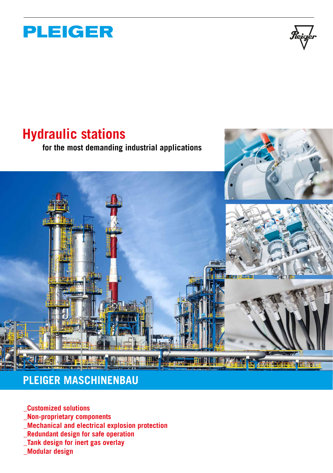

## **Hydraulic stations**

**for the most demanding industrial applications**



#### **PLEIGER MASCHINENBAU**

- **\_Customized solutions**
- **\_Non-proprietary components**
- **\_Mechanical and electrical explosion protection**
- **\_Redundant design for safe operation**
- **\_Tank design for inert gas overlay**
- **\_Modular design**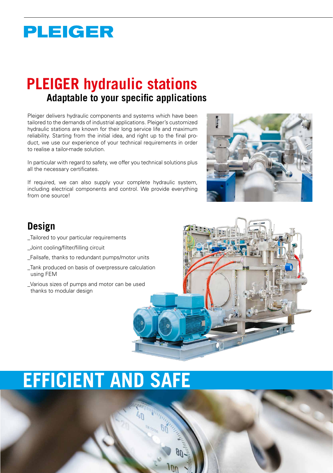## **PLEIGER**

## **PLEIGER hydraulic stations Adaptable to your specific applications**

Pleiger delivers hydraulic components and systems which have been tailored to the demands of industrial applications. Pleiger's customized hydraulic stations are known for their long service life and maximum reliability. Starting from the initial idea, and right up to the final product, we use our experience of your technical requirements in order to realise a tailor-made solution.

In particular with regard to safety, we offer you technical solutions plus all the necessary certificates.

If required, we can also supply your complete hydraulic system, including electrical components and control. We provide everything from one source!



#### **Design**

- \_Tailored to your particular requirements
- \_Joint cooling/filter/filling circuit
- \_Failsafe, thanks to redundant pumps/motor units
- \_Tank produced on basis of overpressure calculation using FEM
- \_Various sizes of pumps and motor can be used thanks to modular design



# **EFFICIENT AND SAFE**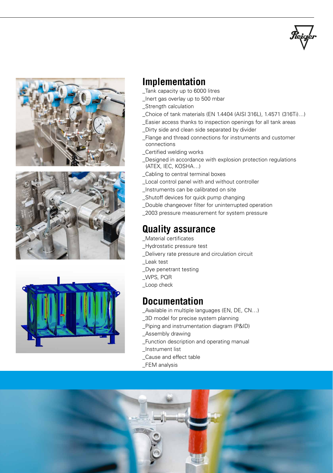







#### **Implementation**

- \_Tank capacity up to 6000 litres
- \_Inert gas overlay up to 500 mbar
- \_Strength calculation
- \_Choice of tank materials (EN 1.4404 (AISI 316L), 1.4571 (316Ti)…)
- \_Easier access thanks to inspection openings for all tank areas
- \_Dirty side and clean side separated by divider
- \_Flange and thread connections for instruments and customer connections
- \_Certified welding works
- \_Designed in accordance with explosion protection regulations (ATEX, IEC, KOSHA…)
- \_Cabling to central terminal boxes
- \_Local control panel with and without controller
- \_Instruments can be calibrated on site
- \_Shutoff devices for quick pump changing
- \_Double changeover filter for uninterrupted operation
- \_2003 pressure measurement for system pressure

#### **Quality assurance**

- \_Material certificates
- \_Hydrostatic pressure test
- \_Delivery rate pressure and circulation circuit
- \_Leak test
- \_Dye penetrant testing
- \_WPS, PQR
- \_Loop check

#### **Documentation**

- \_Available in multiple languages (EN, DE, CN…)
- \_3D model for precise system planning
- \_Piping and instrumentation diagram (P&ID)
- \_Assembly drawing
- \_Function description and operating manual
- \_Instrument list
- \_Cause and effect table
- FEM analysis